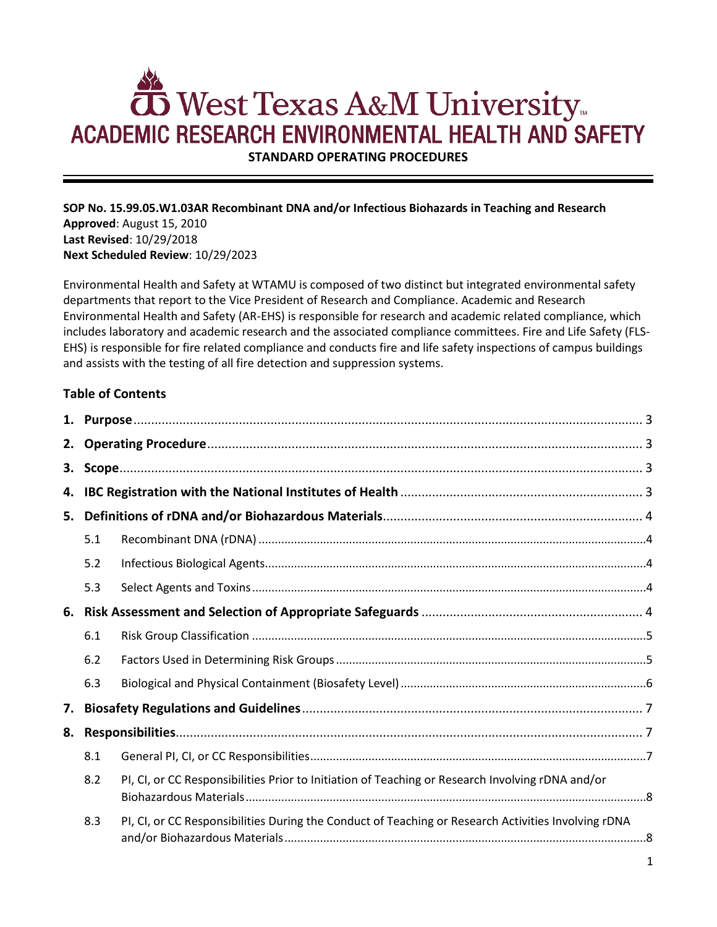# West Texas A&M University **ACADEMIC RESEARCH ENVIRONMENTAL HEALTH AND SAFETY**

**STANDARD OPERATING PROCEDURES**

**SOP No. 15.99.05.W1.03AR Recombinant DNA and/or Infectious Biohazards in Teaching and Research Approved**: August 15, 2010 **Last Revised**: 10/29/2018 **Next Scheduled Review**: 10/29/2023

Environmental Health and Safety at WTAMU is composed of two distinct but integrated environmental safety departments that report to the Vice President of Research and Compliance. Academic and Research Environmental Health and Safety (AR-EHS) is responsible for research and academic related compliance, which includes laboratory and academic research and the associated compliance committees. Fire and Life Safety (FLS-EHS) is responsible for fire related compliance and conducts fire and life safety inspections of campus buildings and assists with the testing of all fire detection and suppression systems.

# **Table of Contents**

| 5. |     |                                                                                                     |  |  |
|----|-----|-----------------------------------------------------------------------------------------------------|--|--|
|    | 5.1 |                                                                                                     |  |  |
|    | 5.2 |                                                                                                     |  |  |
|    | 5.3 |                                                                                                     |  |  |
|    |     |                                                                                                     |  |  |
|    | 6.1 |                                                                                                     |  |  |
|    | 6.2 |                                                                                                     |  |  |
|    | 6.3 |                                                                                                     |  |  |
| 7. |     |                                                                                                     |  |  |
| 8. |     |                                                                                                     |  |  |
|    | 8.1 |                                                                                                     |  |  |
|    | 8.2 | PI, CI, or CC Responsibilities Prior to Initiation of Teaching or Research Involving rDNA and/or    |  |  |
|    | 8.3 | PI, CI, or CC Responsibilities During the Conduct of Teaching or Research Activities Involving rDNA |  |  |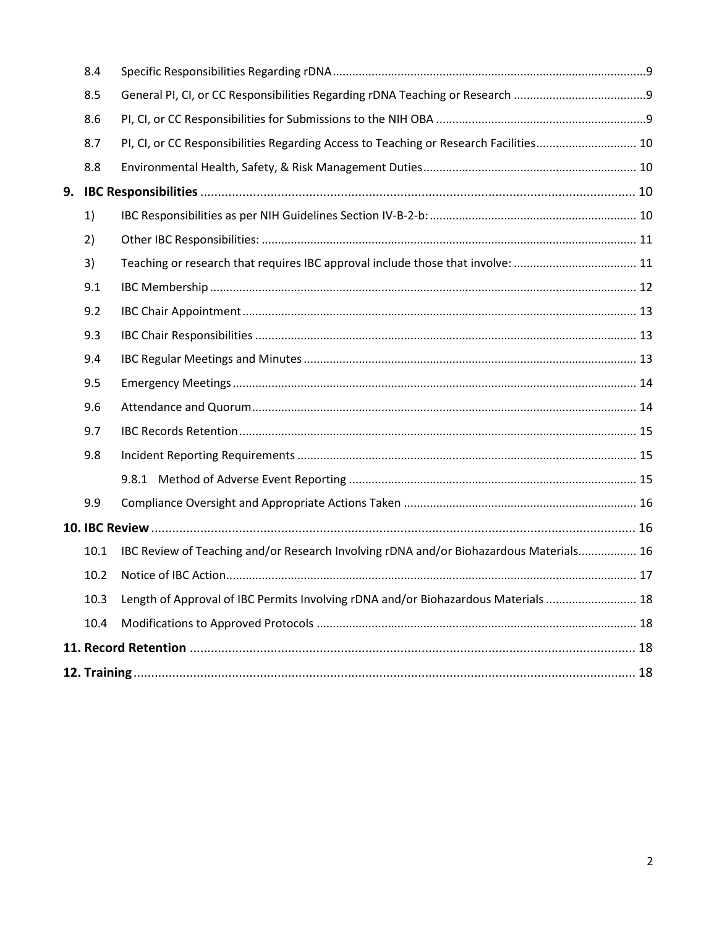|    | 8.4  |                                                                                        |  |  |  |  |  |
|----|------|----------------------------------------------------------------------------------------|--|--|--|--|--|
|    | 8.5  |                                                                                        |  |  |  |  |  |
|    | 8.6  |                                                                                        |  |  |  |  |  |
|    | 8.7  | PI, CI, or CC Responsibilities Regarding Access to Teaching or Research Facilities 10  |  |  |  |  |  |
|    | 8.8  |                                                                                        |  |  |  |  |  |
| 9. |      |                                                                                        |  |  |  |  |  |
|    | 1)   |                                                                                        |  |  |  |  |  |
|    | 2)   |                                                                                        |  |  |  |  |  |
|    | 3)   | Teaching or research that requires IBC approval include those that involve:  11        |  |  |  |  |  |
|    | 9.1  |                                                                                        |  |  |  |  |  |
|    | 9.2  |                                                                                        |  |  |  |  |  |
|    | 9.3  |                                                                                        |  |  |  |  |  |
|    | 9.4  |                                                                                        |  |  |  |  |  |
|    | 9.5  |                                                                                        |  |  |  |  |  |
|    | 9.6  |                                                                                        |  |  |  |  |  |
|    | 9.7  |                                                                                        |  |  |  |  |  |
|    | 9.8  |                                                                                        |  |  |  |  |  |
|    |      |                                                                                        |  |  |  |  |  |
|    | 9.9  |                                                                                        |  |  |  |  |  |
|    |      |                                                                                        |  |  |  |  |  |
|    | 10.1 | IBC Review of Teaching and/or Research Involving rDNA and/or Biohazardous Materials 16 |  |  |  |  |  |
|    | 10.2 |                                                                                        |  |  |  |  |  |
|    | 10.3 | Length of Approval of IBC Permits Involving rDNA and/or Biohazardous Materials  18     |  |  |  |  |  |
|    | 10.4 |                                                                                        |  |  |  |  |  |
|    |      |                                                                                        |  |  |  |  |  |
|    |      |                                                                                        |  |  |  |  |  |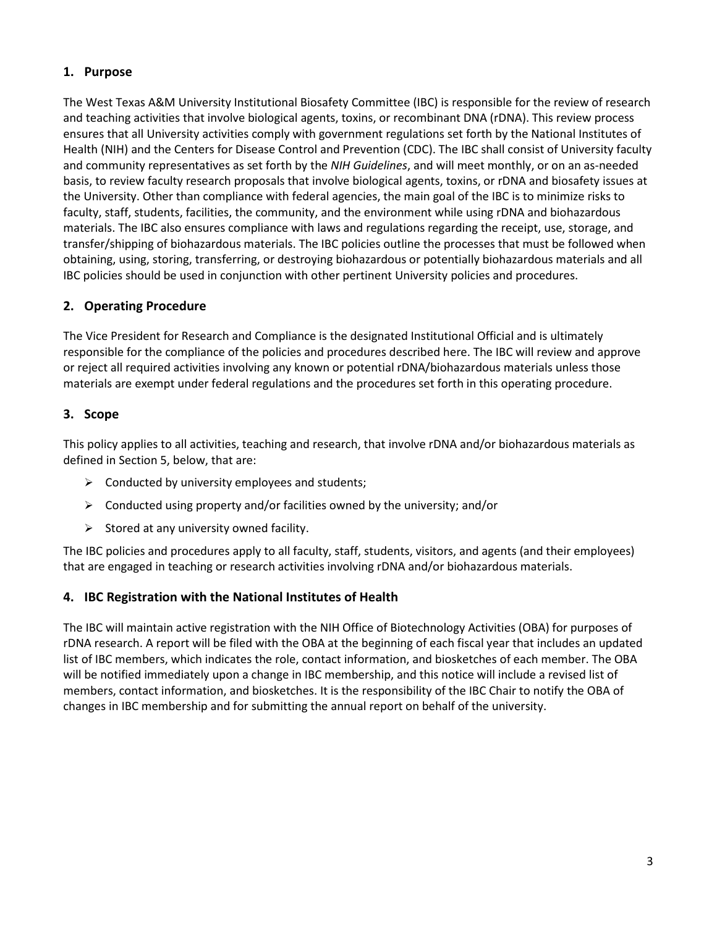## <span id="page-2-0"></span>**1. Purpose**

The West Texas A&M University Institutional Biosafety Committee (IBC) is responsible for the review of research and teaching activities that involve biological agents, toxins, or recombinant DNA (rDNA). This review process ensures that all University activities comply with government regulations set forth by the National Institutes of Health (NIH) and the Centers for Disease Control and Prevention (CDC). The IBC shall consist of University faculty and community representatives as set forth by the *NIH Guidelines*, and will meet monthly, or on an as-needed basis, to review faculty research proposals that involve biological agents, toxins, or rDNA and biosafety issues at the University. Other than compliance with federal agencies, the main goal of the IBC is to minimize risks to faculty, staff, students, facilities, the community, and the environment while using rDNA and biohazardous materials. The IBC also ensures compliance with laws and regulations regarding the receipt, use, storage, and transfer/shipping of biohazardous materials. The IBC policies outline the processes that must be followed when obtaining, using, storing, transferring, or destroying biohazardous or potentially biohazardous materials and all IBC policies should be used in conjunction with other pertinent University policies and procedures.

# <span id="page-2-1"></span>**2. Operating Procedure**

The Vice President for Research and Compliance is the designated Institutional Official and is ultimately responsible for the compliance of the policies and procedures described here. The IBC will review and approve or reject all required activities involving any known or potential rDNA/biohazardous materials unless those materials are exempt under federal regulations and the procedures set forth in this operating procedure.

## <span id="page-2-2"></span>**3. Scope**

This policy applies to all activities, teaching and research, that involve rDNA and/or biohazardous materials as defined in Section 5, below, that are:

- $\triangleright$  Conducted by university employees and students;
- $\triangleright$  Conducted using property and/or facilities owned by the university; and/or
- $\triangleright$  Stored at any university owned facility.

The IBC policies and procedures apply to all faculty, staff, students, visitors, and agents (and their employees) that are engaged in teaching or research activities involving rDNA and/or biohazardous materials.

## <span id="page-2-3"></span>**4. IBC Registration with the National Institutes of Health**

The IBC will maintain active registration with the NIH Office of Biotechnology Activities (OBA) for purposes of rDNA research. A report will be filed with the OBA at the beginning of each fiscal year that includes an updated list of IBC members, which indicates the role, contact information, and biosketches of each member. The OBA will be notified immediately upon a change in IBC membership, and this notice will include a revised list of members, contact information, and biosketches. It is the responsibility of the IBC Chair to notify the OBA of changes in IBC membership and for submitting the annual report on behalf of the university.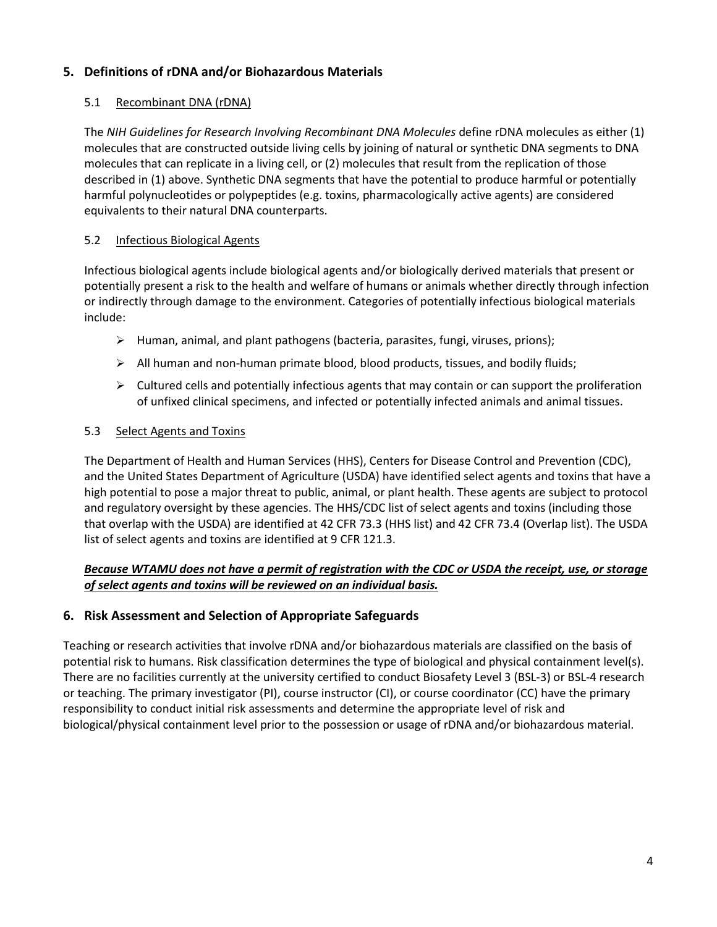# <span id="page-3-0"></span>**5. Definitions of rDNA and/or Biohazardous Materials**

## <span id="page-3-1"></span>5.1 Recombinant DNA (rDNA)

The *NIH Guidelines for Research Involving Recombinant DNA Molecules* define rDNA molecules as either (1) molecules that are constructed outside living cells by joining of natural or synthetic DNA segments to DNA molecules that can replicate in a living cell, or (2) molecules that result from the replication of those described in (1) above. Synthetic DNA segments that have the potential to produce harmful or potentially harmful polynucleotides or polypeptides (e.g. toxins, pharmacologically active agents) are considered equivalents to their natural DNA counterparts.

## <span id="page-3-2"></span>5.2 Infectious Biological Agents

Infectious biological agents include biological agents and/or biologically derived materials that present or potentially present a risk to the health and welfare of humans or animals whether directly through infection or indirectly through damage to the environment. Categories of potentially infectious biological materials include:

- $\triangleright$  Human, animal, and plant pathogens (bacteria, parasites, fungi, viruses, prions);
- $\triangleright$  All human and non-human primate blood, blood products, tissues, and bodily fluids;
- $\triangleright$  Cultured cells and potentially infectious agents that may contain or can support the proliferation of unfixed clinical specimens, and infected or potentially infected animals and animal tissues.

## <span id="page-3-3"></span>5.3 Select Agents and Toxins

The Department of Health and Human Services (HHS), Centers for Disease Control and Prevention (CDC), and the United States Department of Agriculture (USDA) have identified select agents and toxins that have a high potential to pose a major threat to public, animal, or plant health. These agents are subject to protocol and regulatory oversight by these agencies. The HHS/CDC list of select agents and toxins (including those that overlap with the USDA) are identified at 42 CFR 73.3 (HHS list) and 42 CFR 73.4 (Overlap list). The USDA list of select agents and toxins are identified at 9 CFR 121.3.

## *Because WTAMU does not have a permit of registration with the CDC or USDA the receipt, use, or storage of select agents and toxins will be reviewed on an individual basis.*

# <span id="page-3-4"></span>**6. Risk Assessment and Selection of Appropriate Safeguards**

Teaching or research activities that involve rDNA and/or biohazardous materials are classified on the basis of potential risk to humans. Risk classification determines the type of biological and physical containment level(s). There are no facilities currently at the university certified to conduct Biosafety Level 3 (BSL-3) or BSL-4 research or teaching. The primary investigator (PI), course instructor (CI), or course coordinator (CC) have the primary responsibility to conduct initial risk assessments and determine the appropriate level of risk and biological/physical containment level prior to the possession or usage of rDNA and/or biohazardous material.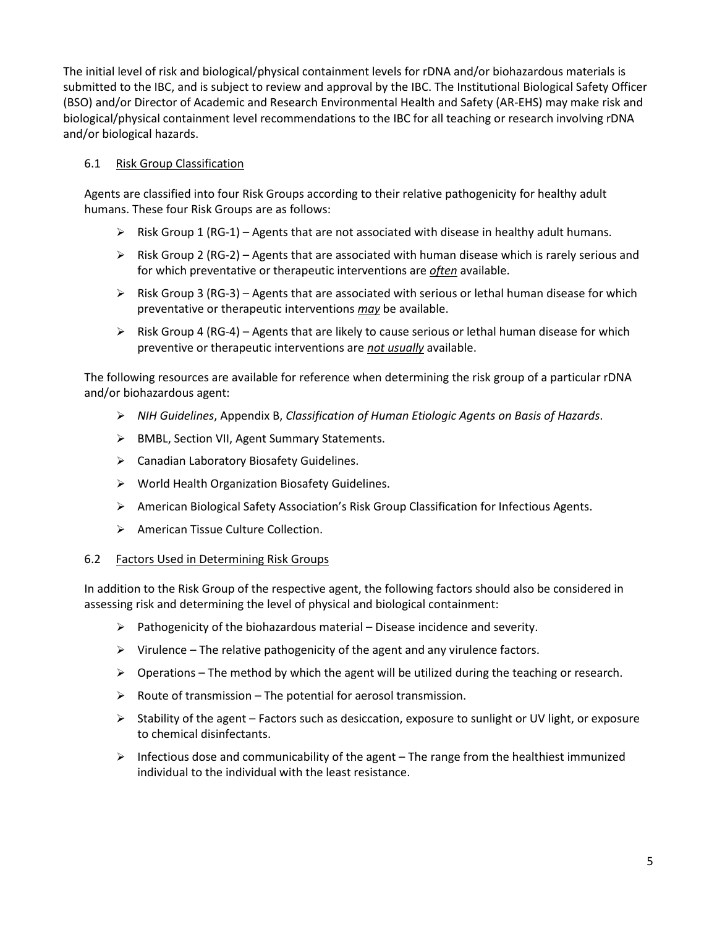The initial level of risk and biological/physical containment levels for rDNA and/or biohazardous materials is submitted to the IBC, and is subject to review and approval by the IBC. The Institutional Biological Safety Officer (BSO) and/or Director of Academic and Research Environmental Health and Safety (AR-EHS) may make risk and biological/physical containment level recommendations to the IBC for all teaching or research involving rDNA and/or biological hazards.

## <span id="page-4-0"></span>6.1 Risk Group Classification

Agents are classified into four Risk Groups according to their relative pathogenicity for healthy adult humans. These four Risk Groups are as follows:

- $\triangleright$  Risk Group 1 (RG-1) Agents that are not associated with disease in healthy adult humans.
- $\triangleright$  Risk Group 2 (RG-2) Agents that are associated with human disease which is rarely serious and for which preventative or therapeutic interventions are *often* available.
- $\triangleright$  Risk Group 3 (RG-3) Agents that are associated with serious or lethal human disease for which preventative or therapeutic interventions *may* be available.
- $\triangleright$  Risk Group 4 (RG-4) Agents that are likely to cause serious or lethal human disease for which preventive or therapeutic interventions are *not usually* available.

The following resources are available for reference when determining the risk group of a particular rDNA and/or biohazardous agent:

- *NIH Guidelines*, Appendix B, *Classification of Human Etiologic Agents on Basis of Hazards*.
- ▶ BMBL, Section VII, Agent Summary Statements.
- Canadian Laboratory Biosafety Guidelines.
- World Health Organization Biosafety Guidelines.
- American Biological Safety Association's Risk Group Classification for Infectious Agents.
- ▶ American Tissue Culture Collection.

## <span id="page-4-1"></span>6.2 Factors Used in Determining Risk Groups

In addition to the Risk Group of the respective agent, the following factors should also be considered in assessing risk and determining the level of physical and biological containment:

- $\triangleright$  Pathogenicity of the biohazardous material Disease incidence and severity.
- $\triangleright$  Virulence The relative pathogenicity of the agent and any virulence factors.
- $\triangleright$  Operations The method by which the agent will be utilized during the teaching or research.
- $\triangleright$  Route of transmission The potential for aerosol transmission.
- $\triangleright$  Stability of the agent Factors such as desiccation, exposure to sunlight or UV light, or exposure to chemical disinfectants.
- $\triangleright$  Infectious dose and communicability of the agent The range from the healthiest immunized individual to the individual with the least resistance.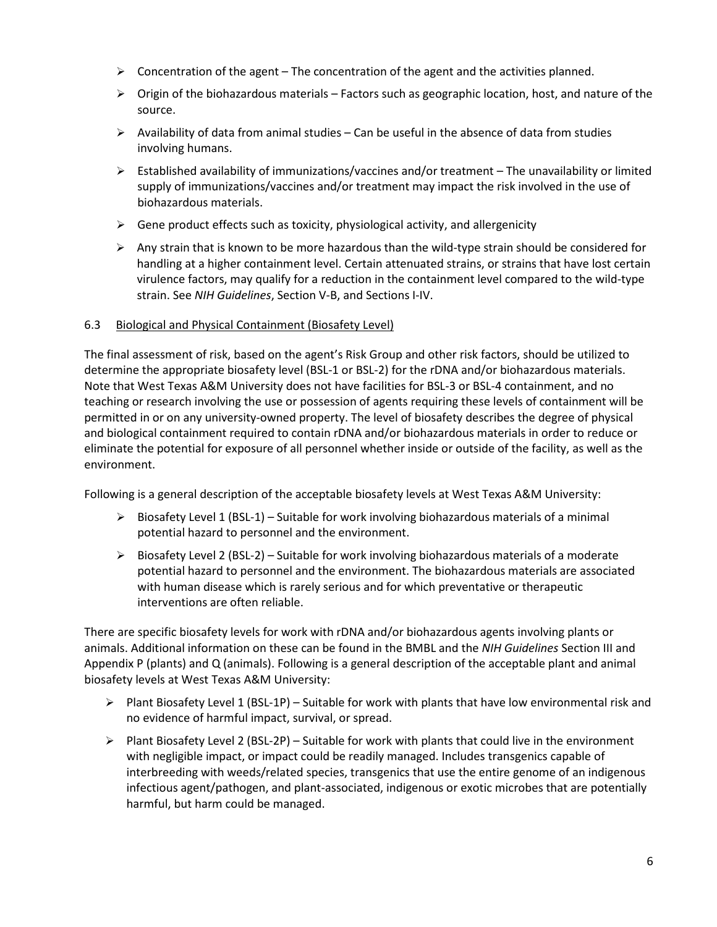- $\triangleright$  Concentration of the agent The concentration of the agent and the activities planned.
- $\triangleright$  Origin of the biohazardous materials Factors such as geographic location, host, and nature of the source.
- $\triangleright$  Availability of data from animal studies Can be useful in the absence of data from studies involving humans.
- $\triangleright$  Established availability of immunizations/vaccines and/or treatment The unavailability or limited supply of immunizations/vaccines and/or treatment may impact the risk involved in the use of biohazardous materials.
- $\triangleright$  Gene product effects such as toxicity, physiological activity, and allergenicity
- $\triangleright$  Any strain that is known to be more hazardous than the wild-type strain should be considered for handling at a higher containment level. Certain attenuated strains, or strains that have lost certain virulence factors, may qualify for a reduction in the containment level compared to the wild-type strain. See *NIH Guidelines*, Section V-B, and Sections I-IV.

#### <span id="page-5-0"></span>6.3 Biological and Physical Containment (Biosafety Level)

The final assessment of risk, based on the agent's Risk Group and other risk factors, should be utilized to determine the appropriate biosafety level (BSL-1 or BSL-2) for the rDNA and/or biohazardous materials. Note that West Texas A&M University does not have facilities for BSL-3 or BSL-4 containment, and no teaching or research involving the use or possession of agents requiring these levels of containment will be permitted in or on any university-owned property. The level of biosafety describes the degree of physical and biological containment required to contain rDNA and/or biohazardous materials in order to reduce or eliminate the potential for exposure of all personnel whether inside or outside of the facility, as well as the environment.

Following is a general description of the acceptable biosafety levels at West Texas A&M University:

- $\triangleright$  Biosafety Level 1 (BSL-1) Suitable for work involving biohazardous materials of a minimal potential hazard to personnel and the environment.
- $\triangleright$  Biosafety Level 2 (BSL-2) Suitable for work involving biohazardous materials of a moderate potential hazard to personnel and the environment. The biohazardous materials are associated with human disease which is rarely serious and for which preventative or therapeutic interventions are often reliable.

There are specific biosafety levels for work with rDNA and/or biohazardous agents involving plants or animals. Additional information on these can be found in the BMBL and the *NIH Guidelines* Section III and Appendix P (plants) and Q (animals). Following is a general description of the acceptable plant and animal biosafety levels at West Texas A&M University:

- $\triangleright$  Plant Biosafety Level 1 (BSL-1P) Suitable for work with plants that have low environmental risk and no evidence of harmful impact, survival, or spread.
- $\triangleright$  Plant Biosafety Level 2 (BSL-2P) Suitable for work with plants that could live in the environment with negligible impact, or impact could be readily managed. Includes transgenics capable of interbreeding with weeds/related species, transgenics that use the entire genome of an indigenous infectious agent/pathogen, and plant-associated, indigenous or exotic microbes that are potentially harmful, but harm could be managed.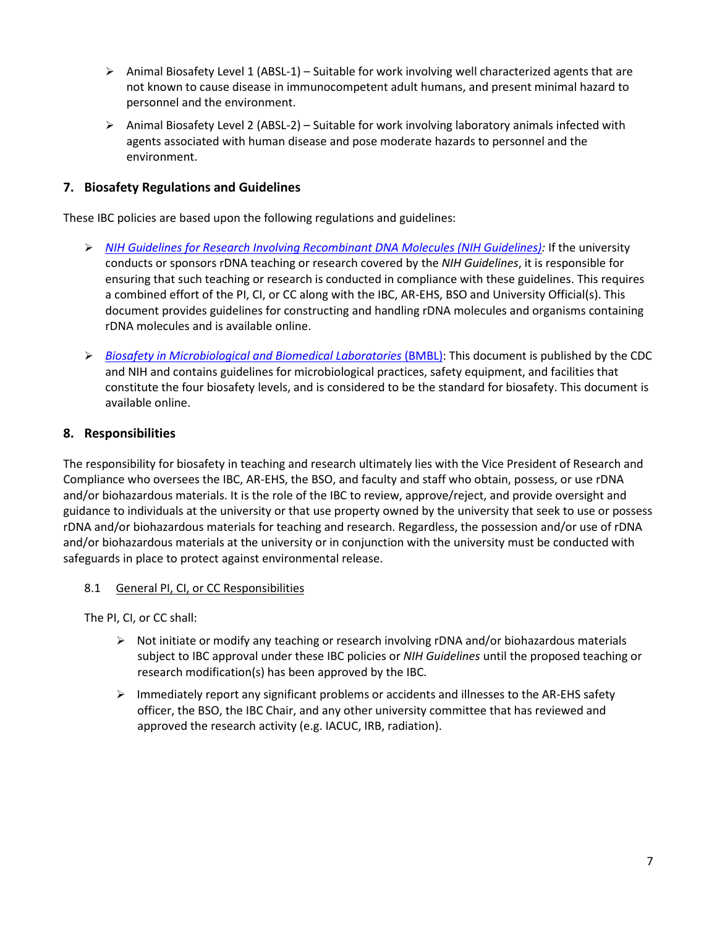- $\triangleright$  Animal Biosafety Level 1 (ABSL-1) Suitable for work involving well characterized agents that are not known to cause disease in immunocompetent adult humans, and present minimal hazard to personnel and the environment.
- $\triangleright$  Animal Biosafety Level 2 (ABSL-2) Suitable for work involving laboratory animals infected with agents associated with human disease and pose moderate hazards to personnel and the environment.

## <span id="page-6-0"></span>**7. Biosafety Regulations and Guidelines**

These IBC policies are based upon the following regulations and guidelines:

- *[NIH Guidelines for Research Involving Recombinant DNA Molecules \(NIH Guidelines\):](https://osp.od.nih.gov/wp-content/uploads/NIH_Guidelines.html)* If the university conducts or sponsors rDNA teaching or research covered by the *NIH Guidelines*, it is responsible for ensuring that such teaching or research is conducted in compliance with these guidelines. This requires a combined effort of the PI, CI, or CC along with the IBC, AR-EHS, BSO and University Official(s). This document provides guidelines for constructing and handling rDNA molecules and organisms containing rDNA molecules and is available online.
- *[Biosafety in Microbiological and Biomedical Laboratories](https://www.cdc.gov/biosafety/publications/bmbl5/index.htm)* (BMBL): This document is published by the CDC and NIH and contains guidelines for microbiological practices, safety equipment, and facilities that constitute the four biosafety levels, and is considered to be the standard for biosafety. This document is available online.

## <span id="page-6-1"></span>**8. Responsibilities**

The responsibility for biosafety in teaching and research ultimately lies with the Vice President of Research and Compliance who oversees the IBC, AR-EHS, the BSO, and faculty and staff who obtain, possess, or use rDNA and/or biohazardous materials. It is the role of the IBC to review, approve/reject, and provide oversight and guidance to individuals at the university or that use property owned by the university that seek to use or possess rDNA and/or biohazardous materials for teaching and research. Regardless, the possession and/or use of rDNA and/or biohazardous materials at the university or in conjunction with the university must be conducted with safeguards in place to protect against environmental release.

## <span id="page-6-2"></span>8.1 General PI, CI, or CC Responsibilities

The PI, CI, or CC shall:

- $\triangleright$  Not initiate or modify any teaching or research involving rDNA and/or biohazardous materials subject to IBC approval under these IBC policies or *NIH Guidelines* until the proposed teaching or research modification(s) has been approved by the IBC.
- $\triangleright$  Immediately report any significant problems or accidents and illnesses to the AR-EHS safety officer, the BSO, the IBC Chair, and any other university committee that has reviewed and approved the research activity (e.g. IACUC, IRB, radiation).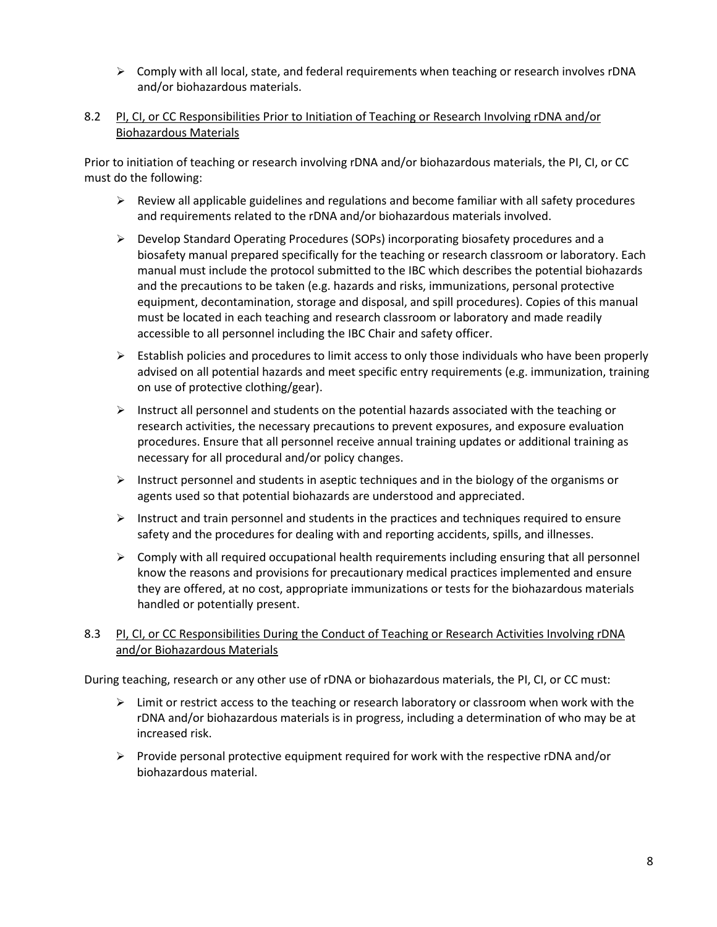$\triangleright$  Comply with all local, state, and federal requirements when teaching or research involves rDNA and/or biohazardous materials.

#### <span id="page-7-0"></span>8.2 PI, CI, or CC Responsibilities Prior to Initiation of Teaching or Research Involving rDNA and/or Biohazardous Materials

Prior to initiation of teaching or research involving rDNA and/or biohazardous materials, the PI, CI, or CC must do the following:

- $\triangleright$  Review all applicable guidelines and regulations and become familiar with all safety procedures and requirements related to the rDNA and/or biohazardous materials involved.
- $\triangleright$  Develop Standard Operating Procedures (SOPs) incorporating biosafety procedures and a biosafety manual prepared specifically for the teaching or research classroom or laboratory. Each manual must include the protocol submitted to the IBC which describes the potential biohazards and the precautions to be taken (e.g. hazards and risks, immunizations, personal protective equipment, decontamination, storage and disposal, and spill procedures). Copies of this manual must be located in each teaching and research classroom or laboratory and made readily accessible to all personnel including the IBC Chair and safety officer.
- $\triangleright$  Establish policies and procedures to limit access to only those individuals who have been properly advised on all potential hazards and meet specific entry requirements (e.g. immunization, training on use of protective clothing/gear).
- $\triangleright$  Instruct all personnel and students on the potential hazards associated with the teaching or research activities, the necessary precautions to prevent exposures, and exposure evaluation procedures. Ensure that all personnel receive annual training updates or additional training as necessary for all procedural and/or policy changes.
- $\triangleright$  Instruct personnel and students in aseptic techniques and in the biology of the organisms or agents used so that potential biohazards are understood and appreciated.
- $\triangleright$  Instruct and train personnel and students in the practices and techniques required to ensure safety and the procedures for dealing with and reporting accidents, spills, and illnesses.
- $\triangleright$  Comply with all required occupational health requirements including ensuring that all personnel know the reasons and provisions for precautionary medical practices implemented and ensure they are offered, at no cost, appropriate immunizations or tests for the biohazardous materials handled or potentially present.

## <span id="page-7-1"></span>8.3 PI, CI, or CC Responsibilities During the Conduct of Teaching or Research Activities Involving rDNA and/or Biohazardous Materials

During teaching, research or any other use of rDNA or biohazardous materials, the PI, CI, or CC must:

- $\triangleright$  Limit or restrict access to the teaching or research laboratory or classroom when work with the rDNA and/or biohazardous materials is in progress, including a determination of who may be at increased risk.
- $\triangleright$  Provide personal protective equipment required for work with the respective rDNA and/or biohazardous material.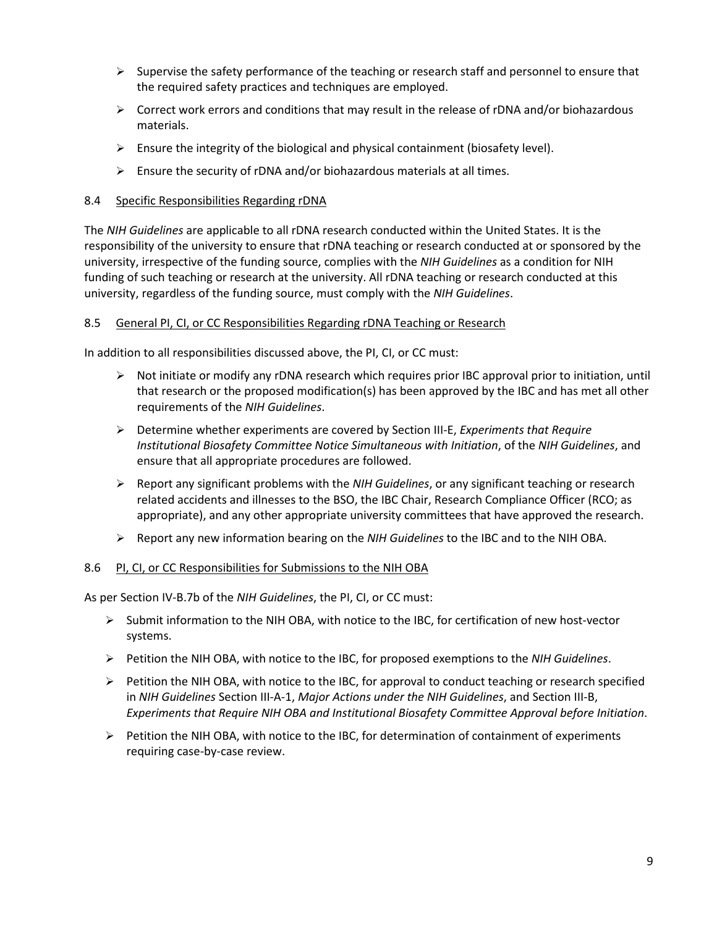- $\triangleright$  Supervise the safety performance of the teaching or research staff and personnel to ensure that the required safety practices and techniques are employed.
- $\triangleright$  Correct work errors and conditions that may result in the release of rDNA and/or biohazardous materials.
- $\triangleright$  Ensure the integrity of the biological and physical containment (biosafety level).
- $\triangleright$  Ensure the security of rDNA and/or biohazardous materials at all times.

#### <span id="page-8-0"></span>8.4 Specific Responsibilities Regarding rDNA

The *NIH Guidelines* are applicable to all rDNA research conducted within the United States. It is the responsibility of the university to ensure that rDNA teaching or research conducted at or sponsored by the university, irrespective of the funding source, complies with the *NIH Guidelines* as a condition for NIH funding of such teaching or research at the university. All rDNA teaching or research conducted at this university, regardless of the funding source, must comply with the *NIH Guidelines*.

#### <span id="page-8-1"></span>8.5 General PI, CI, or CC Responsibilities Regarding rDNA Teaching or Research

In addition to all responsibilities discussed above, the PI, CI, or CC must:

- $\triangleright$  Not initiate or modify any rDNA research which requires prior IBC approval prior to initiation, until that research or the proposed modification(s) has been approved by the IBC and has met all other requirements of the *NIH Guidelines*.
- Determine whether experiments are covered by Section III-E, *Experiments that Require Institutional Biosafety Committee Notice Simultaneous with Initiation*, of the *NIH Guidelines*, and ensure that all appropriate procedures are followed.
- Report any significant problems with the *NIH Guidelines*, or any significant teaching or research related accidents and illnesses to the BSO, the IBC Chair, Research Compliance Officer (RCO; as appropriate), and any other appropriate university committees that have approved the research.
- Report any new information bearing on the *NIH Guidelines* to the IBC and to the NIH OBA.

#### <span id="page-8-2"></span>8.6 PI, CI, or CC Responsibilities for Submissions to the NIH OBA

As per Section IV-B.7b of the *NIH Guidelines*, the PI, CI, or CC must:

- $\triangleright$  Submit information to the NIH OBA, with notice to the IBC, for certification of new host-vector systems.
- Petition the NIH OBA, with notice to the IBC, for proposed exemptions to the *NIH Guidelines*.
- $\triangleright$  Petition the NIH OBA, with notice to the IBC, for approval to conduct teaching or research specified in *NIH Guidelines* Section III-A-1, *Major Actions under the NIH Guidelines*, and Section III-B, *Experiments that Require NIH OBA and Institutional Biosafety Committee Approval before Initiation*.
- $\triangleright$  Petition the NIH OBA, with notice to the IBC, for determination of containment of experiments requiring case-by-case review.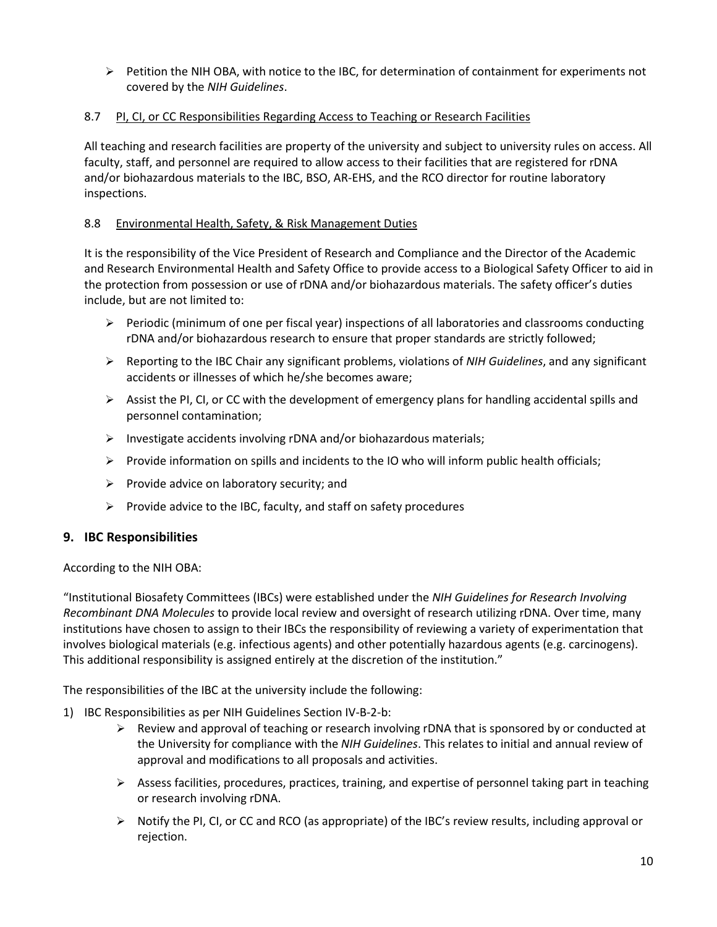$\triangleright$  Petition the NIH OBA, with notice to the IBC, for determination of containment for experiments not covered by the *NIH Guidelines*.

## <span id="page-9-0"></span>8.7 PI, CI, or CC Responsibilities Regarding Access to Teaching or Research Facilities

All teaching and research facilities are property of the university and subject to university rules on access. All faculty, staff, and personnel are required to allow access to their facilities that are registered for rDNA and/or biohazardous materials to the IBC, BSO, AR-EHS, and the RCO director for routine laboratory inspections.

#### <span id="page-9-1"></span>8.8 Environmental Health, Safety, & Risk Management Duties

It is the responsibility of the Vice President of Research and Compliance and the Director of the Academic and Research Environmental Health and Safety Office to provide access to a Biological Safety Officer to aid in the protection from possession or use of rDNA and/or biohazardous materials. The safety officer's duties include, but are not limited to:

- $\triangleright$  Periodic (minimum of one per fiscal year) inspections of all laboratories and classrooms conducting rDNA and/or biohazardous research to ensure that proper standards are strictly followed;
- Reporting to the IBC Chair any significant problems, violations of *NIH Guidelines*, and any significant accidents or illnesses of which he/she becomes aware;
- $\triangleright$  Assist the PI, CI, or CC with the development of emergency plans for handling accidental spills and personnel contamination;
- $\triangleright$  Investigate accidents involving rDNA and/or biohazardous materials;
- $\triangleright$  Provide information on spills and incidents to the IO who will inform public health officials;
- $\triangleright$  Provide advice on laboratory security; and
- $\triangleright$  Provide advice to the IBC, faculty, and staff on safety procedures

## <span id="page-9-2"></span>**9. IBC Responsibilities**

According to the NIH OBA:

"Institutional Biosafety Committees (IBCs) were established under the *NIH Guidelines for Research Involving Recombinant DNA Molecules* to provide local review and oversight of research utilizing rDNA. Over time, many institutions have chosen to assign to their IBCs the responsibility of reviewing a variety of experimentation that involves biological materials (e.g. infectious agents) and other potentially hazardous agents (e.g. carcinogens). This additional responsibility is assigned entirely at the discretion of the institution."

The responsibilities of the IBC at the university include the following:

- <span id="page-9-3"></span>1) IBC Responsibilities as per NIH Guidelines Section IV-B-2-b:
	- $\triangleright$  Review and approval of teaching or research involving rDNA that is sponsored by or conducted at the University for compliance with the *NIH Guidelines*. This relates to initial and annual review of approval and modifications to all proposals and activities.
	- $\triangleright$  Assess facilities, procedures, practices, training, and expertise of personnel taking part in teaching or research involving rDNA.
	- Notify the PI, CI, or CC and RCO (as appropriate) of the IBC's review results, including approval or rejection.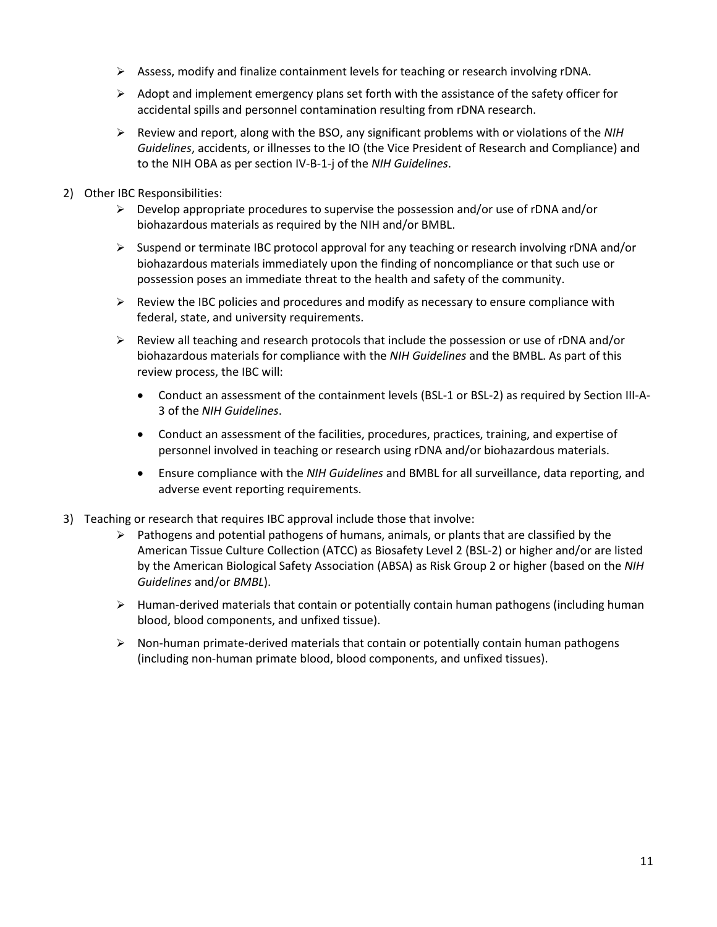- $\triangleright$  Assess, modify and finalize containment levels for teaching or research involving rDNA.
- $\triangleright$  Adopt and implement emergency plans set forth with the assistance of the safety officer for accidental spills and personnel contamination resulting from rDNA research.
- Review and report, along with the BSO, any significant problems with or violations of the *NIH Guidelines*, accidents, or illnesses to the IO (the Vice President of Research and Compliance) and to the NIH OBA as per section IV-B-1-j of the *NIH Guidelines*.
- <span id="page-10-0"></span>2) Other IBC Responsibilities:
	- $\triangleright$  Develop appropriate procedures to supervise the possession and/or use of rDNA and/or biohazardous materials as required by the NIH and/or BMBL.
	- $\triangleright$  Suspend or terminate IBC protocol approval for any teaching or research involving rDNA and/or biohazardous materials immediately upon the finding of noncompliance or that such use or possession poses an immediate threat to the health and safety of the community.
	- $\triangleright$  Review the IBC policies and procedures and modify as necessary to ensure compliance with federal, state, and university requirements.
	- $\triangleright$  Review all teaching and research protocols that include the possession or use of rDNA and/or biohazardous materials for compliance with the *NIH Guidelines* and the BMBL. As part of this review process, the IBC will:
		- Conduct an assessment of the containment levels (BSL-1 or BSL-2) as required by Section III-A-3 of the *NIH Guidelines*.
		- Conduct an assessment of the facilities, procedures, practices, training, and expertise of personnel involved in teaching or research using rDNA and/or biohazardous materials.
		- Ensure compliance with the *NIH Guidelines* and BMBL for all surveillance, data reporting, and adverse event reporting requirements.
- <span id="page-10-1"></span>3) Teaching or research that requires IBC approval include those that involve:
	- $\triangleright$  Pathogens and potential pathogens of humans, animals, or plants that are classified by the American Tissue Culture Collection (ATCC) as Biosafety Level 2 (BSL-2) or higher and/or are listed by the American Biological Safety Association (ABSA) as Risk Group 2 or higher (based on the *NIH Guidelines* and/or *BMBL*).
	- $\triangleright$  Human-derived materials that contain or potentially contain human pathogens (including human blood, blood components, and unfixed tissue).
	- $\triangleright$  Non-human primate-derived materials that contain or potentially contain human pathogens (including non-human primate blood, blood components, and unfixed tissues).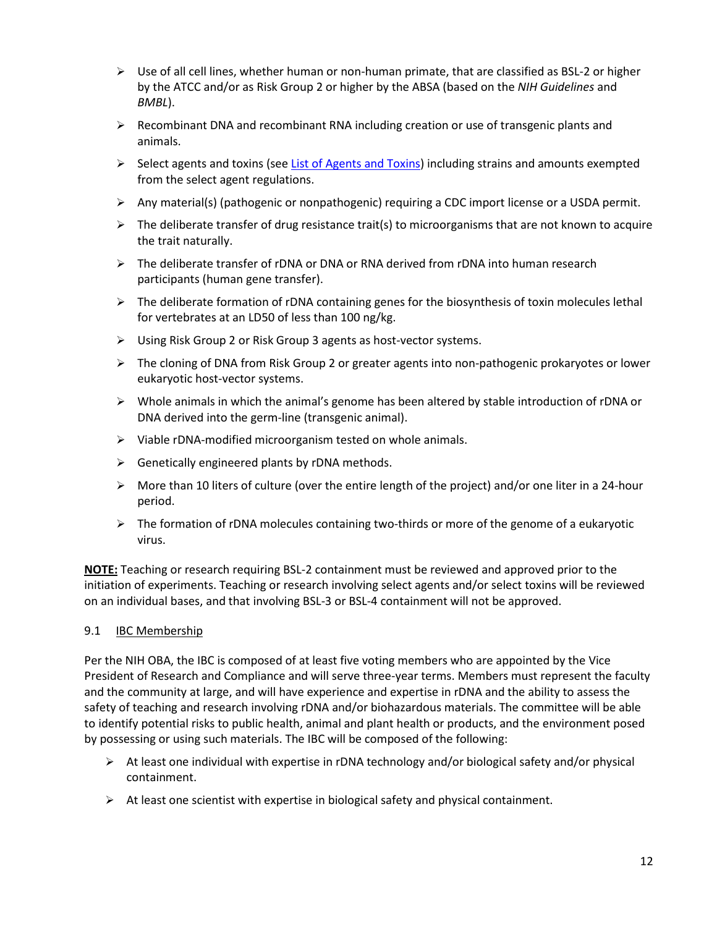- $\triangleright$  Use of all cell lines, whether human or non-human primate, that are classified as BSL-2 or higher by the ATCC and/or as Risk Group 2 or higher by the ABSA (based on the *NIH Guidelines* and *BMBL*).
- $\triangleright$  Recombinant DNA and recombinant RNA including creation or use of transgenic plants and animals.
- $\triangleright$  Select agents and toxins (se[e List of Agents and Toxins\)](https://www.selectagents.gov/SelectAgentsandToxinsList.html) including strains and amounts exempted from the select agent regulations.
- Any material(s) (pathogenic or nonpathogenic) requiring a CDC import license or a USDA permit.
- $\triangleright$  The deliberate transfer of drug resistance trait(s) to microorganisms that are not known to acquire the trait naturally.
- The deliberate transfer of rDNA or DNA or RNA derived from rDNA into human research participants (human gene transfer).
- $\triangleright$  The deliberate formation of rDNA containing genes for the biosynthesis of toxin molecules lethal for vertebrates at an LD50 of less than 100 ng/kg.
- Using Risk Group 2 or Risk Group 3 agents as host-vector systems.
- $\triangleright$  The cloning of DNA from Risk Group 2 or greater agents into non-pathogenic prokaryotes or lower eukaryotic host-vector systems.
- $\triangleright$  Whole animals in which the animal's genome has been altered by stable introduction of rDNA or DNA derived into the germ-line (transgenic animal).
- $\triangleright$  Viable rDNA-modified microorganism tested on whole animals.
- $\triangleright$  Genetically engineered plants by rDNA methods.
- $\triangleright$  More than 10 liters of culture (over the entire length of the project) and/or one liter in a 24-hour period.
- $\triangleright$  The formation of rDNA molecules containing two-thirds or more of the genome of a eukaryotic virus.

**NOTE:** Teaching or research requiring BSL-2 containment must be reviewed and approved prior to the initiation of experiments. Teaching or research involving select agents and/or select toxins will be reviewed on an individual bases, and that involving BSL-3 or BSL-4 containment will not be approved.

#### <span id="page-11-0"></span>9.1 IBC Membership

Per the NIH OBA, the IBC is composed of at least five voting members who are appointed by the Vice President of Research and Compliance and will serve three-year terms. Members must represent the faculty and the community at large, and will have experience and expertise in rDNA and the ability to assess the safety of teaching and research involving rDNA and/or biohazardous materials. The committee will be able to identify potential risks to public health, animal and plant health or products, and the environment posed by possessing or using such materials. The IBC will be composed of the following:

- $\triangleright$  At least one individual with expertise in rDNA technology and/or biological safety and/or physical containment.
- $\triangleright$  At least one scientist with expertise in biological safety and physical containment.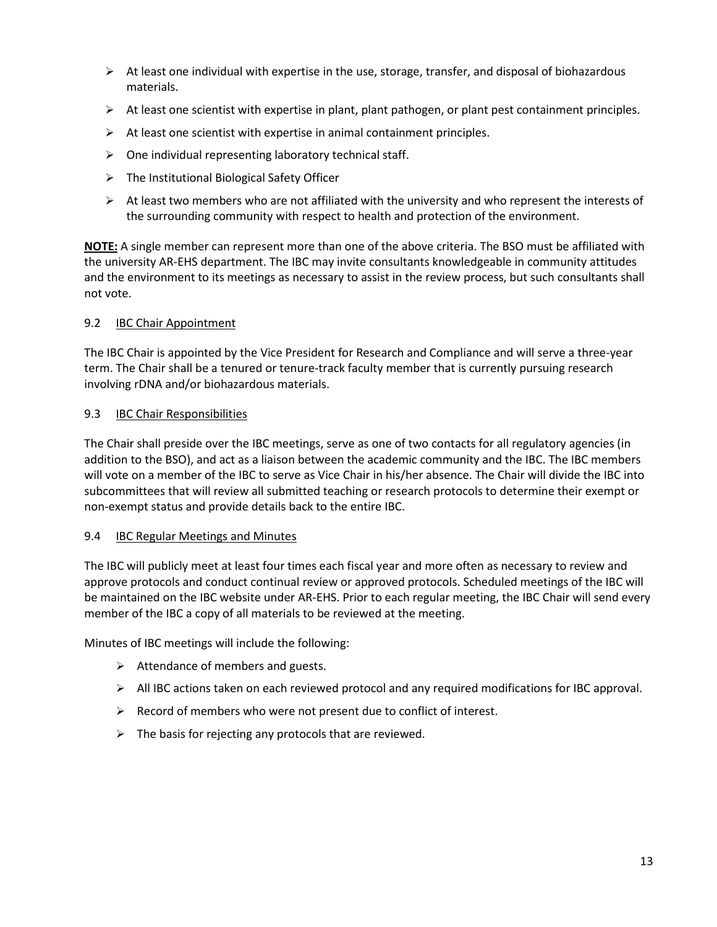- $\triangleright$  At least one individual with expertise in the use, storage, transfer, and disposal of biohazardous materials.
- $\triangleright$  At least one scientist with expertise in plant, plant pathogen, or plant pest containment principles.
- $\triangleright$  At least one scientist with expertise in animal containment principles.
- $\triangleright$  One individual representing laboratory technical staff.
- $\triangleright$  The Institutional Biological Safety Officer
- $\triangleright$  At least two members who are not affiliated with the university and who represent the interests of the surrounding community with respect to health and protection of the environment.

**NOTE:** A single member can represent more than one of the above criteria. The BSO must be affiliated with the university AR-EHS department. The IBC may invite consultants knowledgeable in community attitudes and the environment to its meetings as necessary to assist in the review process, but such consultants shall not vote.

## <span id="page-12-0"></span>9.2 IBC Chair Appointment

The IBC Chair is appointed by the Vice President for Research and Compliance and will serve a three-year term. The Chair shall be a tenured or tenure-track faculty member that is currently pursuing research involving rDNA and/or biohazardous materials.

#### <span id="page-12-1"></span>9.3 IBC Chair Responsibilities

The Chair shall preside over the IBC meetings, serve as one of two contacts for all regulatory agencies (in addition to the BSO), and act as a liaison between the academic community and the IBC. The IBC members will vote on a member of the IBC to serve as Vice Chair in his/her absence. The Chair will divide the IBC into subcommittees that will review all submitted teaching or research protocols to determine their exempt or non-exempt status and provide details back to the entire IBC.

## <span id="page-12-2"></span>9.4 IBC Regular Meetings and Minutes

The IBC will publicly meet at least four times each fiscal year and more often as necessary to review and approve protocols and conduct continual review or approved protocols. Scheduled meetings of the IBC will be maintained on the IBC website under AR-EHS. Prior to each regular meeting, the IBC Chair will send every member of the IBC a copy of all materials to be reviewed at the meeting.

Minutes of IBC meetings will include the following:

- $\triangleright$  Attendance of members and guests.
- All IBC actions taken on each reviewed protocol and any required modifications for IBC approval.
- $\triangleright$  Record of members who were not present due to conflict of interest.
- $\triangleright$  The basis for rejecting any protocols that are reviewed.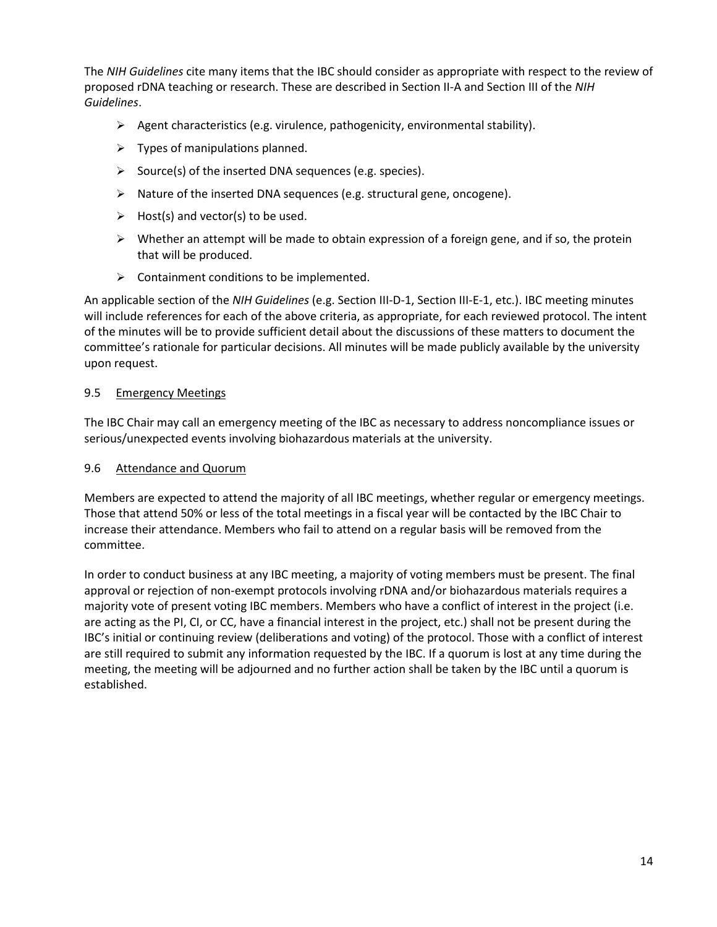The *NIH Guidelines* cite many items that the IBC should consider as appropriate with respect to the review of proposed rDNA teaching or research. These are described in Section II-A and Section III of the *NIH Guidelines*.

- $\triangleright$  Agent characteristics (e.g. virulence, pathogenicity, environmental stability).
- $\triangleright$  Types of manipulations planned.
- $\triangleright$  Source(s) of the inserted DNA sequences (e.g. species).
- $\triangleright$  Nature of the inserted DNA sequences (e.g. structural gene, oncogene).
- $\triangleright$  Host(s) and vector(s) to be used.
- $\triangleright$  Whether an attempt will be made to obtain expression of a foreign gene, and if so, the protein that will be produced.
- $\triangleright$  Containment conditions to be implemented.

An applicable section of the *NIH Guidelines* (e.g. Section III-D-1, Section III-E-1, etc.). IBC meeting minutes will include references for each of the above criteria, as appropriate, for each reviewed protocol. The intent of the minutes will be to provide sufficient detail about the discussions of these matters to document the committee's rationale for particular decisions. All minutes will be made publicly available by the university upon request.

#### <span id="page-13-0"></span>9.5 Emergency Meetings

The IBC Chair may call an emergency meeting of the IBC as necessary to address noncompliance issues or serious/unexpected events involving biohazardous materials at the university.

#### <span id="page-13-1"></span>9.6 Attendance and Quorum

Members are expected to attend the majority of all IBC meetings, whether regular or emergency meetings. Those that attend 50% or less of the total meetings in a fiscal year will be contacted by the IBC Chair to increase their attendance. Members who fail to attend on a regular basis will be removed from the committee.

In order to conduct business at any IBC meeting, a majority of voting members must be present. The final approval or rejection of non-exempt protocols involving rDNA and/or biohazardous materials requires a majority vote of present voting IBC members. Members who have a conflict of interest in the project (i.e. are acting as the PI, CI, or CC, have a financial interest in the project, etc.) shall not be present during the IBC's initial or continuing review (deliberations and voting) of the protocol. Those with a conflict of interest are still required to submit any information requested by the IBC. If a quorum is lost at any time during the meeting, the meeting will be adjourned and no further action shall be taken by the IBC until a quorum is established.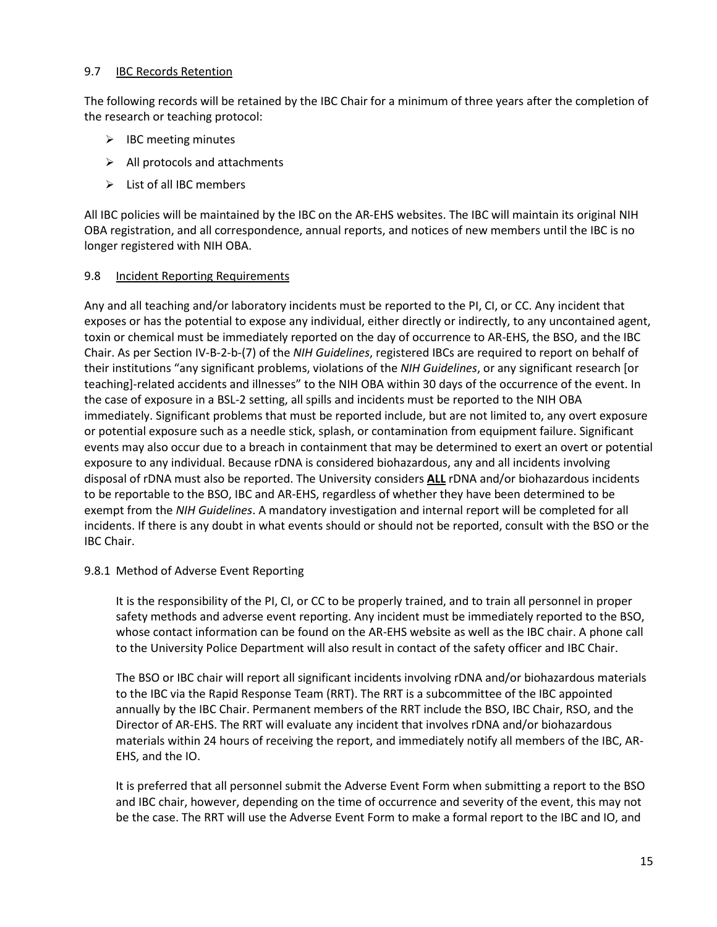#### <span id="page-14-0"></span>9.7 **IBC Records Retention**

The following records will be retained by the IBC Chair for a minimum of three years after the completion of the research or teaching protocol:

- $\triangleright$  IBC meeting minutes
- $\triangleright$  All protocols and attachments
- $\triangleright$  List of all IBC members

All IBC policies will be maintained by the IBC on the AR-EHS websites. The IBC will maintain its original NIH OBA registration, and all correspondence, annual reports, and notices of new members until the IBC is no longer registered with NIH OBA.

#### <span id="page-14-1"></span>9.8 Incident Reporting Requirements

Any and all teaching and/or laboratory incidents must be reported to the PI, CI, or CC. Any incident that exposes or has the potential to expose any individual, either directly or indirectly, to any uncontained agent, toxin or chemical must be immediately reported on the day of occurrence to AR-EHS, the BSO, and the IBC Chair. As per Section IV-B-2-b-(7) of the *NIH Guidelines*, registered IBCs are required to report on behalf of their institutions "any significant problems, violations of the *NIH Guidelines*, or any significant research [or teaching]-related accidents and illnesses" to the NIH OBA within 30 days of the occurrence of the event. In the case of exposure in a BSL-2 setting, all spills and incidents must be reported to the NIH OBA immediately. Significant problems that must be reported include, but are not limited to, any overt exposure or potential exposure such as a needle stick, splash, or contamination from equipment failure. Significant events may also occur due to a breach in containment that may be determined to exert an overt or potential exposure to any individual. Because rDNA is considered biohazardous, any and all incidents involving disposal of rDNA must also be reported. The University considers **ALL** rDNA and/or biohazardous incidents to be reportable to the BSO, IBC and AR-EHS, regardless of whether they have been determined to be exempt from the *NIH Guidelines*. A mandatory investigation and internal report will be completed for all incidents. If there is any doubt in what events should or should not be reported, consult with the BSO or the IBC Chair.

#### <span id="page-14-2"></span>9.8.1 Method of Adverse Event Reporting

It is the responsibility of the PI, CI, or CC to be properly trained, and to train all personnel in proper safety methods and adverse event reporting. Any incident must be immediately reported to the BSO, whose contact information can be found on the AR-EHS website as well as the IBC chair. A phone call to the University Police Department will also result in contact of the safety officer and IBC Chair.

The BSO or IBC chair will report all significant incidents involving rDNA and/or biohazardous materials to the IBC via the Rapid Response Team (RRT). The RRT is a subcommittee of the IBC appointed annually by the IBC Chair. Permanent members of the RRT include the BSO, IBC Chair, RSO, and the Director of AR-EHS. The RRT will evaluate any incident that involves rDNA and/or biohazardous materials within 24 hours of receiving the report, and immediately notify all members of the IBC, AR-EHS, and the IO.

It is preferred that all personnel submit the Adverse Event Form when submitting a report to the BSO and IBC chair, however, depending on the time of occurrence and severity of the event, this may not be the case. The RRT will use the Adverse Event Form to make a formal report to the IBC and IO, and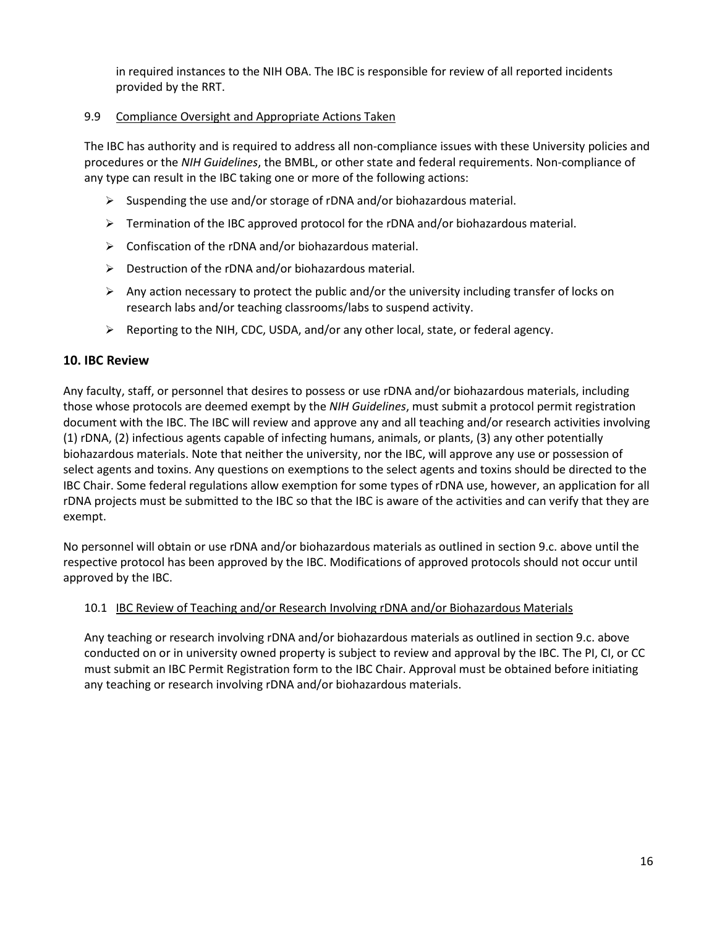in required instances to the NIH OBA. The IBC is responsible for review of all reported incidents provided by the RRT.

#### <span id="page-15-0"></span>9.9 Compliance Oversight and Appropriate Actions Taken

The IBC has authority and is required to address all non-compliance issues with these University policies and procedures or the *NIH Guidelines*, the BMBL, or other state and federal requirements. Non-compliance of any type can result in the IBC taking one or more of the following actions:

- $\triangleright$  Suspending the use and/or storage of rDNA and/or biohazardous material.
- $\triangleright$  Termination of the IBC approved protocol for the rDNA and/or biohazardous material.
- $\triangleright$  Confiscation of the rDNA and/or biohazardous material.
- $\triangleright$  Destruction of the rDNA and/or biohazardous material.
- $\triangleright$  Any action necessary to protect the public and/or the university including transfer of locks on research labs and/or teaching classrooms/labs to suspend activity.
- $\triangleright$  Reporting to the NIH, CDC, USDA, and/or any other local, state, or federal agency.

## <span id="page-15-1"></span>**10. IBC Review**

Any faculty, staff, or personnel that desires to possess or use rDNA and/or biohazardous materials, including those whose protocols are deemed exempt by the *NIH Guidelines*, must submit a protocol permit registration document with the IBC. The IBC will review and approve any and all teaching and/or research activities involving (1) rDNA, (2) infectious agents capable of infecting humans, animals, or plants, (3) any other potentially biohazardous materials. Note that neither the university, nor the IBC, will approve any use or possession of select agents and toxins. Any questions on exemptions to the select agents and toxins should be directed to the IBC Chair. Some federal regulations allow exemption for some types of rDNA use, however, an application for all rDNA projects must be submitted to the IBC so that the IBC is aware of the activities and can verify that they are exempt.

No personnel will obtain or use rDNA and/or biohazardous materials as outlined in section 9.c. above until the respective protocol has been approved by the IBC. Modifications of approved protocols should not occur until approved by the IBC.

## <span id="page-15-2"></span>10.1 IBC Review of Teaching and/or Research Involving rDNA and/or Biohazardous Materials

Any teaching or research involving rDNA and/or biohazardous materials as outlined in section 9.c. above conducted on or in university owned property is subject to review and approval by the IBC. The PI, CI, or CC must submit an IBC Permit Registration form to the IBC Chair. Approval must be obtained before initiating any teaching or research involving rDNA and/or biohazardous materials.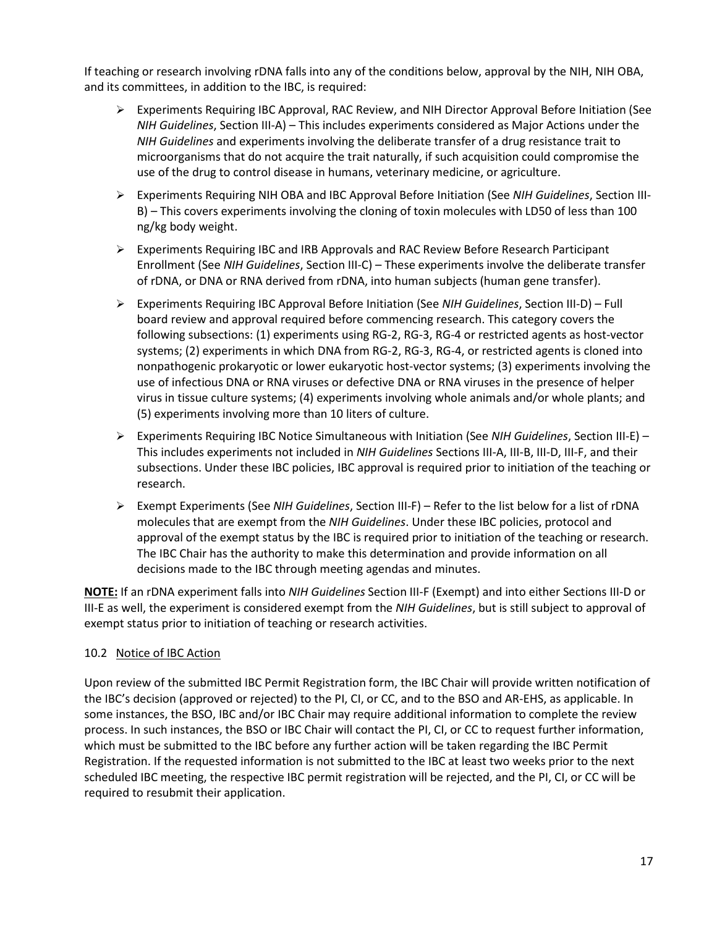If teaching or research involving rDNA falls into any of the conditions below, approval by the NIH, NIH OBA, and its committees, in addition to the IBC, is required:

- Experiments Requiring IBC Approval, RAC Review, and NIH Director Approval Before Initiation (See *NIH Guidelines*, Section III-A) – This includes experiments considered as Major Actions under the *NIH Guidelines* and experiments involving the deliberate transfer of a drug resistance trait to microorganisms that do not acquire the trait naturally, if such acquisition could compromise the use of the drug to control disease in humans, veterinary medicine, or agriculture.
- Experiments Requiring NIH OBA and IBC Approval Before Initiation (See *NIH Guidelines*, Section III-B) – This covers experiments involving the cloning of toxin molecules with LD50 of less than 100 ng/kg body weight.
- Experiments Requiring IBC and IRB Approvals and RAC Review Before Research Participant Enrollment (See *NIH Guidelines*, Section III-C) – These experiments involve the deliberate transfer of rDNA, or DNA or RNA derived from rDNA, into human subjects (human gene transfer).
- Experiments Requiring IBC Approval Before Initiation (See *NIH Guidelines*, Section III-D) Full board review and approval required before commencing research. This category covers the following subsections: (1) experiments using RG-2, RG-3, RG-4 or restricted agents as host-vector systems; (2) experiments in which DNA from RG-2, RG-3, RG-4, or restricted agents is cloned into nonpathogenic prokaryotic or lower eukaryotic host-vector systems; (3) experiments involving the use of infectious DNA or RNA viruses or defective DNA or RNA viruses in the presence of helper virus in tissue culture systems; (4) experiments involving whole animals and/or whole plants; and (5) experiments involving more than 10 liters of culture.
- Experiments Requiring IBC Notice Simultaneous with Initiation (See *NIH Guidelines*, Section III-E) This includes experiments not included in *NIH Guidelines* Sections III-A, III-B, III-D, III-F, and their subsections. Under these IBC policies, IBC approval is required prior to initiation of the teaching or research.
- Exempt Experiments (See *NIH Guidelines*, Section III-F) Refer to the list below for a list of rDNA molecules that are exempt from the *NIH Guidelines*. Under these IBC policies, protocol and approval of the exempt status by the IBC is required prior to initiation of the teaching or research. The IBC Chair has the authority to make this determination and provide information on all decisions made to the IBC through meeting agendas and minutes.

**NOTE:** If an rDNA experiment falls into *NIH Guidelines* Section III-F (Exempt) and into either Sections III-D or III-E as well, the experiment is considered exempt from the *NIH Guidelines*, but is still subject to approval of exempt status prior to initiation of teaching or research activities.

## <span id="page-16-0"></span>10.2 Notice of IBC Action

Upon review of the submitted IBC Permit Registration form, the IBC Chair will provide written notification of the IBC's decision (approved or rejected) to the PI, CI, or CC, and to the BSO and AR-EHS, as applicable. In some instances, the BSO, IBC and/or IBC Chair may require additional information to complete the review process. In such instances, the BSO or IBC Chair will contact the PI, CI, or CC to request further information, which must be submitted to the IBC before any further action will be taken regarding the IBC Permit Registration. If the requested information is not submitted to the IBC at least two weeks prior to the next scheduled IBC meeting, the respective IBC permit registration will be rejected, and the PI, CI, or CC will be required to resubmit their application.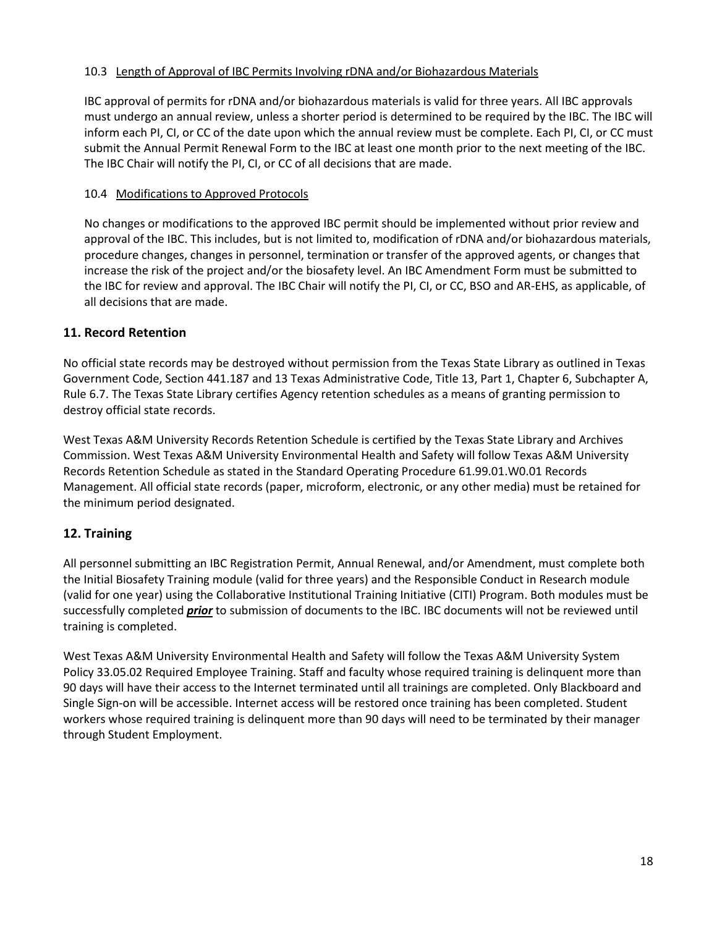## <span id="page-17-0"></span>10.3 Length of Approval of IBC Permits Involving rDNA and/or Biohazardous Materials

IBC approval of permits for rDNA and/or biohazardous materials is valid for three years. All IBC approvals must undergo an annual review, unless a shorter period is determined to be required by the IBC. The IBC will inform each PI, CI, or CC of the date upon which the annual review must be complete. Each PI, CI, or CC must submit the Annual Permit Renewal Form to the IBC at least one month prior to the next meeting of the IBC. The IBC Chair will notify the PI, CI, or CC of all decisions that are made.

## <span id="page-17-1"></span>10.4 Modifications to Approved Protocols

No changes or modifications to the approved IBC permit should be implemented without prior review and approval of the IBC. This includes, but is not limited to, modification of rDNA and/or biohazardous materials, procedure changes, changes in personnel, termination or transfer of the approved agents, or changes that increase the risk of the project and/or the biosafety level. An IBC Amendment Form must be submitted to the IBC for review and approval. The IBC Chair will notify the PI, CI, or CC, BSO and AR-EHS, as applicable, of all decisions that are made.

## <span id="page-17-2"></span>**11. Record Retention**

No official state records may be destroyed without permission from the Texas State Library as outlined in Texas Government Code, Section 441.187 and 13 Texas Administrative Code, Title 13, Part 1, Chapter 6, Subchapter A, Rule 6.7. The Texas State Library certifies Agency retention schedules as a means of granting permission to destroy official state records.

West Texas A&M University Records Retention Schedule is certified by the Texas State Library and Archives Commission. West Texas A&M University Environmental Health and Safety will follow Texas A&M University Records Retention Schedule as stated in the Standard Operating Procedure 61.99.01.W0.01 Records Management. All official state records (paper, microform, electronic, or any other media) must be retained for the minimum period designated.

# <span id="page-17-3"></span>**12. Training**

All personnel submitting an IBC Registration Permit, Annual Renewal, and/or Amendment, must complete both the Initial Biosafety Training module (valid for three years) and the Responsible Conduct in Research module (valid for one year) using the Collaborative Institutional Training Initiative (CITI) Program. Both modules must be successfully completed *prior* to submission of documents to the IBC. IBC documents will not be reviewed until training is completed.

West Texas A&M University Environmental Health and Safety will follow the Texas A&M University System Policy 33.05.02 Required Employee Training. Staff and faculty whose required training is delinquent more than 90 days will have their access to the Internet terminated until all trainings are completed. Only Blackboard and Single Sign-on will be accessible. Internet access will be restored once training has been completed. Student workers whose required training is delinquent more than 90 days will need to be terminated by their manager through Student Employment.